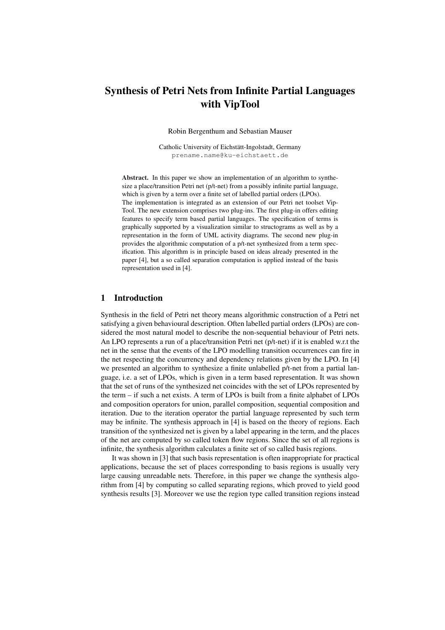# Synthesis of Petri Nets from Infinite Partial Languages with VipTool

Robin Bergenthum and Sebastian Mauser

Catholic University of Eichstätt-Ingolstadt, Germany prename.name@ku-eichstaett.de

Abstract. In this paper we show an implementation of an algorithm to synthesize a place/transition Petri net (p/t-net) from a possibly infinite partial language, which is given by a term over a finite set of labelled partial orders (LPOs). The implementation is integrated as an extension of our Petri net toolset Vip-Tool. The new extension comprises two plug-ins. The first plug-in offers editing features to specify term based partial languages. The specification of terms is graphically supported by a visualization similar to structograms as well as by a representation in the form of UML activity diagrams. The second new plug-in provides the algorithmic computation of a p/t-net synthesized from a term specification. This algorithm is in principle based on ideas already presented in the paper [4], but a so called separation computation is applied instead of the basis representation used in [4].

#### 1 Introduction

Synthesis in the field of Petri net theory means algorithmic construction of a Petri net satisfying a given behavioural description. Often labelled partial orders (LPOs) are considered the most natural model to describe the non-sequential behaviour of Petri nets. An LPO represents a run of a place/transition Petri net (p/t-net) if it is enabled w.r.t the net in the sense that the events of the LPO modelling transition occurrences can fire in the net respecting the concurrency and dependency relations given by the LPO. In [4] we presented an algorithm to synthesize a finite unlabelled p/t-net from a partial language, i.e. a set of LPOs, which is given in a term based representation. It was shown that the set of runs of the synthesized net coincides with the set of LPOs represented by the term – if such a net exists. A term of LPOs is built from a finite alphabet of LPOs and composition operators for union, parallel composition, sequential composition and iteration. Due to the iteration operator the partial language represented by such term may be infinite. The synthesis approach in [4] is based on the theory of regions. Each transition of the synthesized net is given by a label appearing in the term, and the places of the net are computed by so called token flow regions. Since the set of all regions is infinite, the synthesis algorithm calculates a finite set of so called basis regions.

It was shown in [3] that such basis representation is often inappropriate for practical applications, because the set of places corresponding to basis regions is usually very large causing unreadable nets. Therefore, in this paper we change the synthesis algorithm from [4] by computing so called separating regions, which proved to yield good synthesis results [3]. Moreover we use the region type called transition regions instead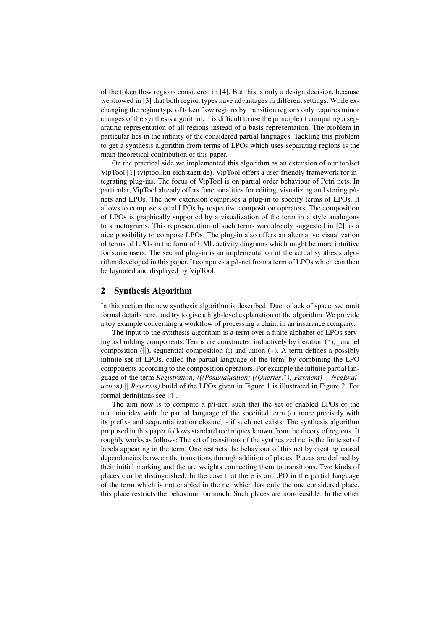of the token flow regions considered in [4]. But this is only a design decision, because we showed in [3] that both region types have advantages in different settings. While exchanging the region type of token flow regions by transition regions only requires minor changes of the synthesis algorithm, it is difficult to use the principle of computing a separating representation of all regions instead of a basis representation. The problem in particular lies in the infinity of the considered partial languages. Tackling this problem to get a synthesis algorithm from terms of LPOs which uses separating regions is the main theoretical contribution of this paper.

On the practical side we implemented this algorithm as an extension of our toolset VipTool [1] (viptool.ku-eichstaett.de). VipTool offers a user-friendly framework for integrating plug-ins. The focus of VipTool is on partial order behaviour of Petri nets. In particular, VipTool already offers functionalities for editing, visualizing and storing p/tnets and LPOs. The new extension comprises a plug-in to specify terms of LPOs. It allows to compose stored LPOs by respective composition operators. The composition of LPOs is graphically supported by a visualization of the term in a style analogous to structograms. This representation of such terms was already suggested in [2] as a nice possibility to compose LPOs. The plug-in also offers an alternative visualization of terms of LPOs in the form of UML activity diagrams which might be more intuitive for some users. The second plug-in is an implementation of the actual synthesis algorithm developed in this paper. It computes a p/t-net from a term of LPOs which can then be layouted and displayed by VipTool.

## 2 Synthesis Algorithm

In this section the new synthesis algorithm is described. Due to lack of space, we omit formal details here, and try to give a high-level explanation of the algorithm. We provide a toy example concerning a workflow of processing a claim in an insurance company.

The input to the synthesis algorithm is a term over a finite alphabet of LPOs serving as building components. Terms are constructed inductively by iteration (\*), parallel composition ( $||$ ), sequential composition (:) and union (+). A term defines a possibly infinite set of LPOs, called the partial language of the term, by combining the LPO components according to the composition operators. For example the infinite partial language of the term *Registration; (((PosEvaluation; ((Queries)*<sup>∗</sup> *); Payment) + NegEvaluation)* || *Reserves)* build of the LPOs given in Figure 1 is illustrated in Figure 2. For formal definitions see [4].

The aim now is to compute a p/t-net, such that the set of enabled LPOs of the net coincides with the partial language of the specified term (or more precisely with its prefix- and sequentialization closure) - if such net exists. The synthesis algorithm proposed in this paper follows standard techniques known from the theory of regions. It roughly works as follows: The set of transitions of the synthesized net is the finite set of labels appearing in the term. One restricts the behaviour of this net by creating causal dependencies between the transitions through addition of places. Places are defined by their initial marking and the arc weights connecting them to transitions. Two kinds of places can be distinguished. In the case that there is an LPO in the partial language of the term which is not enabled in the net which has only the one considered place, this place restricts the behaviour too much. Such places are non-feasible. In the other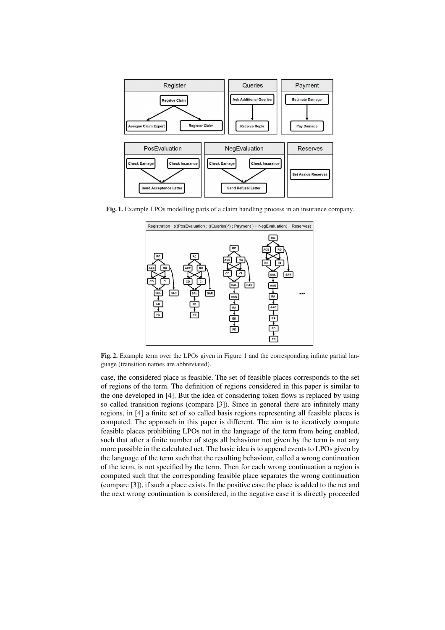

Fig. 1. Example LPOs modelling parts of a claim handling process in an insurance company.



Fig. 2. Example term over the LPOs given in Figure 1 and the corresponding infinte partial language (transition names are abbreviated).

case, the considered place is feasible. The set of feasible places corresponds to the set of regions of the term. The definition of regions considered in this paper is similar to the one developed in [4]. But the idea of considering token flows is replaced by using so called transition regions (compare [3]). Since in general there are infinitely many regions, in [4] a finite set of so called basis regions representing all feasible places is computed. The approach in this paper is different. The aim is to iteratively compute feasible places prohibiting LPOs not in the language of the term from being enabled, such that after a finite number of steps all behaviour not given by the term is not any more possible in the calculated net. The basic idea is to append events to LPOs given by the language of the term such that the resulting behaviour, called a wrong continuation of the term, is not specified by the term. Then for each wrong continuation a region is computed such that the corresponding feasible place separates the wrong continuation (compare [3]), if such a place exists. In the positive case the place is added to the net and the next wrong continuation is considered, in the negative case it is directly proceeded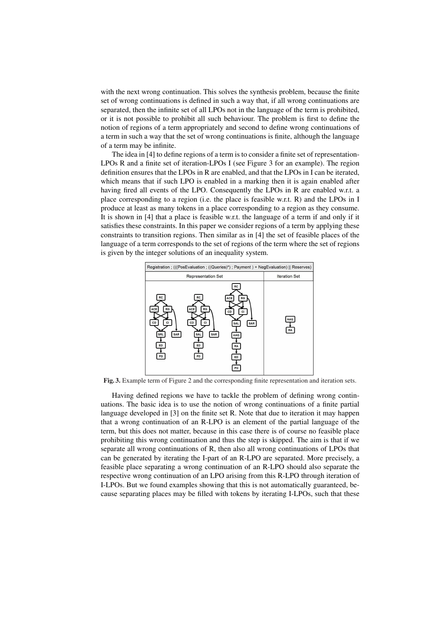with the next wrong continuation. This solves the synthesis problem, because the finite set of wrong continuations is defined in such a way that, if all wrong continuations are separated, then the infinite set of all LPOs not in the language of the term is prohibited, or it is not possible to prohibit all such behaviour. The problem is first to define the notion of regions of a term appropriately and second to define wrong continuations of a term in such a way that the set of wrong continuations is finite, although the language of a term may be infinite.

The idea in [4] to define regions of a term is to consider a finite set of representation-LPOs R and a finite set of iteration-LPOs I (see Figure 3 for an example). The region definition ensures that the LPOs in R are enabled, and that the LPOs in I can be iterated, which means that if such LPO is enabled in a marking then it is again enabled after having fired all events of the LPO. Consequently the LPOs in R are enabled w.r.t. a place corresponding to a region (i.e. the place is feasible w.r.t. R) and the LPOs in I produce at least as many tokens in a place corresponding to a region as they consume. It is shown in [4] that a place is feasible w.r.t. the language of a term if and only if it satisfies these constraints. In this paper we consider regions of a term by applying these constraints to transition regions. Then similar as in [4] the set of feasible places of the language of a term corresponds to the set of regions of the term where the set of regions is given by the integer solutions of an inequality system.



Fig. 3. Example term of Figure 2 and the corresponding finite representation and iteration sets.

Having defined regions we have to tackle the problem of defining wrong continuations. The basic idea is to use the notion of wrong continuations of a finite partial language developed in [3] on the finite set R. Note that due to iteration it may happen that a wrong continuation of an R-LPO is an element of the partial language of the term, but this does not matter, because in this case there is of course no feasible place prohibiting this wrong continuation and thus the step is skipped. The aim is that if we separate all wrong continuations of R, then also all wrong continuations of LPOs that can be generated by iterating the I-part of an R-LPO are separated. More precisely, a feasible place separating a wrong continuation of an R-LPO should also separate the respective wrong continuation of an LPO arising from this R-LPO through iteration of I-LPOs. But we found examples showing that this is not automatically guaranteed, because separating places may be filled with tokens by iterating I-LPOs, such that these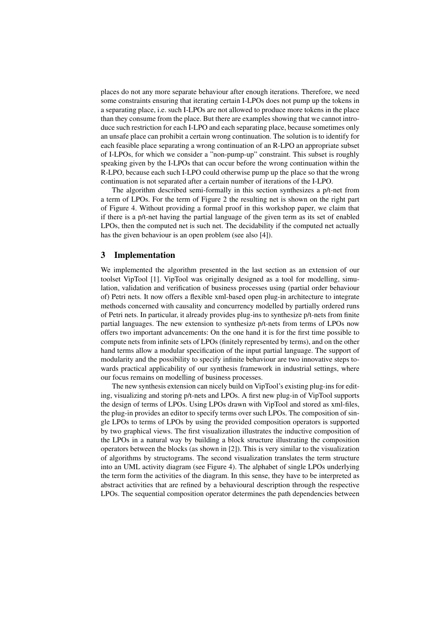places do not any more separate behaviour after enough iterations. Therefore, we need some constraints ensuring that iterating certain I-LPOs does not pump up the tokens in a separating place, i.e. such I-LPOs are not allowed to produce more tokens in the place than they consume from the place. But there are examples showing that we cannot introduce such restriction for each I-LPO and each separating place, because sometimes only an unsafe place can prohibit a certain wrong continuation. The solution is to identify for each feasible place separating a wrong continuation of an R-LPO an appropriate subset of I-LPOs, for which we consider a "non-pump-up" constraint. This subset is roughly speaking given by the I-LPOs that can occur before the wrong continuation within the R-LPO, because each such I-LPO could otherwise pump up the place so that the wrong continuation is not separated after a certain number of iterations of the I-LPO.

The algorithm described semi-formally in this section synthesizes a p/t-net from a term of LPOs. For the term of Figure 2 the resulting net is shown on the right part of Figure 4. Without providing a formal proof in this workshop paper, we claim that if there is a p/t-net having the partial language of the given term as its set of enabled LPOs, then the computed net is such net. The decidability if the computed net actually has the given behaviour is an open problem (see also [4]).

#### 3 Implementation

We implemented the algorithm presented in the last section as an extension of our toolset VipTool [1]. VipTool was originally designed as a tool for modelling, simulation, validation and verification of business processes using (partial order behaviour of) Petri nets. It now offers a flexible xml-based open plug-in architecture to integrate methods concerned with causality and concurrency modelled by partially ordered runs of Petri nets. In particular, it already provides plug-ins to synthesize p/t-nets from finite partial languages. The new extension to synthesize p/t-nets from terms of LPOs now offers two important advancements: On the one hand it is for the first time possible to compute nets from infinite sets of LPOs (finitely represented by terms), and on the other hand terms allow a modular specification of the input partial language. The support of modularity and the possibility to specify infinite behaviour are two innovative steps towards practical applicability of our synthesis framework in industrial settings, where our focus remains on modelling of business processes.

The new synthesis extension can nicely build on VipTool's existing plug-ins for editing, visualizing and storing p/t-nets and LPOs. A first new plug-in of VipTool supports the design of terms of LPOs. Using LPOs drawn with VipTool and stored as xml-files, the plug-in provides an editor to specify terms over such LPOs. The composition of single LPOs to terms of LPOs by using the provided composition operators is supported by two graphical views. The first visualization illustrates the inductive composition of the LPOs in a natural way by building a block structure illustrating the composition operators between the blocks (as shown in [2]). This is very similar to the visualization of algorithms by structograms. The second visualization translates the term structure into an UML activity diagram (see Figure 4). The alphabet of single LPOs underlying the term form the activities of the diagram. In this sense, they have to be interpreted as abstract activities that are refined by a behavioural description through the respective LPOs. The sequential composition operator determines the path dependencies between